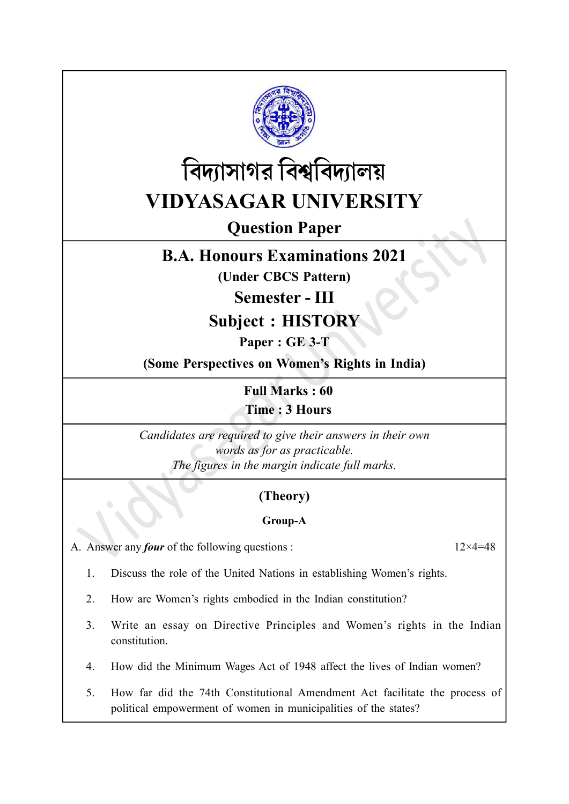



# Question Paper

# B.A. Honours Examinations 2021

(Under CBCS Pattern)

Semester - III

Subject : HISTORY

Paper : GE 3-T

(Some Perspectives on Women's Rights in India)

Full Marks : 60 Time : 3 Hours

Candidates are required to give their answers in their own words as for as practicable. The figures in the margin indicate full marks.

# (Theory)

### Group-A

A. Answer any *four* of the following questions :  $12 \times 4 = 48$ 

- 1. Discuss the role of the United Nations in establishing Women's rights.
- 2. How are Women's rights embodied in the Indian constitution?
- 3. Write an essay on Directive Principles and Women's rights in the Indian constitution.
- 4. How did the Minimum Wages Act of 1948 affect the lives of Indian women?
- 5. How far did the 74th Constitutional Amendment Act facilitate the process of political empowerment of women in municipalities of the states?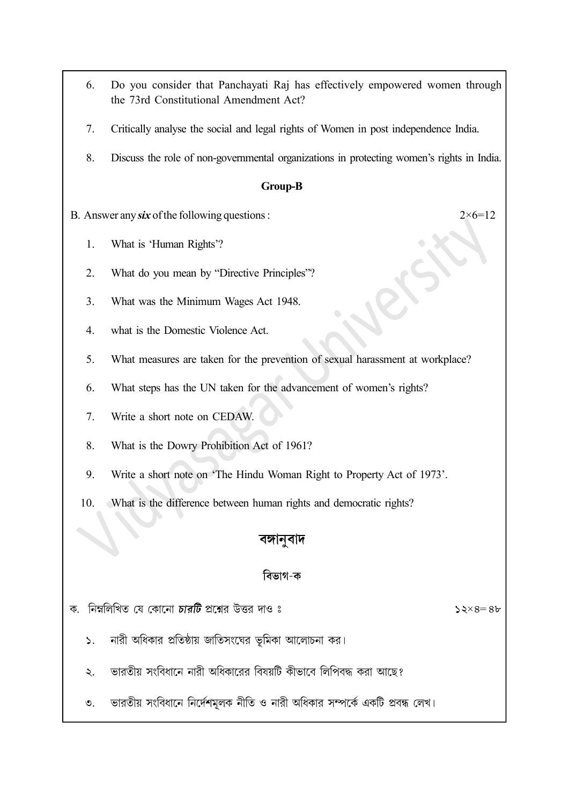- 6. Do you consider that Panchayati Raj has effectively empowered women through the 73rd Constitutional Amendment Act?
- 7. Critically analyse the social and legal rights of Women in post independence India.
- 8. Discuss the role of non-governmental organizations in protecting women's rights in India.

#### Group-B

- B. Answer any six of the following questions :  $2 \times 6 = 12$ 
	- 1. What is 'Human Rights'?
	- 2. What do you mean by "Directive Principles"?
	- 3. What was the Minimum Wages Act 1948.
	- 4. what is the Domestic Violence Act.
	- 5. What measures are taken for the prevention of sexual harassment at workplace?
	- 6. What steps has the UN taken for the advancement of women's rights?
	- 7. Write a short note on CEDAW.
	- 8. What is the Dowry Prohibition Act of 1961?
	- 9. Write a short note on 'The Hindu Woman Right to Property Act of 1973'.
	- 10. What is the difference between human rights and democratic rights?

## বঙ্গানুবাদ

## বিভাগ-ক

ক. নিম্নলিখিত যে কোনো চারটি প্রশ্নের উত্তর দাও ঃ

 $52\times8=86$ 

- নারী অধিকার প্রতিষ্ঠায় জাতিসংঘের ভূমিকা আলোচনা কর।  $\mathsf{S}$ .
- ভারতীয় সংবিধানে নারী অধিকারের বিষয়টি কীভাবে লিপিবদ্ধ করা আছে? ২.
- ভারতীয় সংবিধানে নির্দেশমূলক নীতি ও নারী অধিকার সম্পর্কে একটি প্রবন্ধ লেখ।  $\mathcal{O}_{\mathcal{L}}$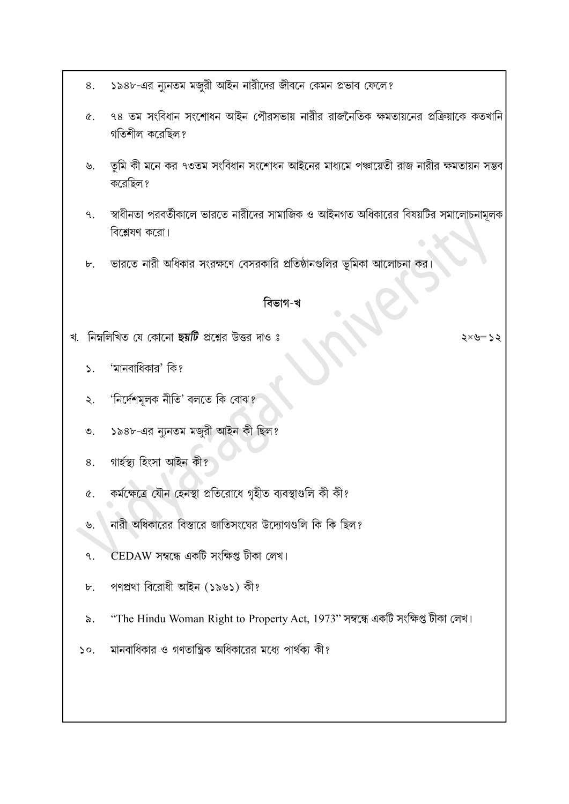- ১৯৪৮-এর ন্যুনতম মজুরী আইন নারীদের জীবনে কেমন প্রভাব ফেলে? 8.
- ৭৪ তম সংবিধান সংশোধন আইন পৌরসভায় নারীর রাজনৈতিক ক্ষমতায়নের প্রক্রিয়াকে কতখানি  $\alpha$ . গতিশীল করেছিল?
- তুমি কী মনে কর ৭৩তম সংবিধান সংশোধন আইনের মাধ্যমে পঞ্চায়েতী রাজ নারীর ক্ষমতায়ন সম্ভব  $\mathcal{P}$ করেছিল ?
- স্বাধীনতা পরবর্তীকালে ভারতে নারীদের সামাজিক ও আইনগত অধিকারের বিষয়টির সমালোচনামূলক  $\mathsf{q}$ . বিশ্লেষণ করো।
- ভারতে নারী অধিকার সংরক্ষণে বেসরকারি প্রতিষ্ঠানগুলির ভূমিকা আলোচনা কর।  $\mathbf{b}$ .

## বিভাগ-খ

খ. নিম্নলিখিত যে কোনো ছয়টি প্রশ্নের উত্তর দাও ঃ

২<= ৬×

- 'মানবাধিকার' কি?  $\sum$
- 'নিৰ্দেশমূলক নীতি' বলতে কি বোঝ?  $\lambda$ .
- ১৯৪৮-এর ন্যুনতম মজুরী আইন কী ছিল?  $\mathcal{O}$ .
- গাৰ্হস্থ্য হিংসা আইন কী? 8.
- কৰ্মক্ষেত্ৰে যৌন হেনস্থা প্ৰতিরোধে গৃহীত ব্যবস্থাগুলি কী কী?  $\alpha$ .
- নারী অধিকারের বিস্তারে জাতিসংঘের উদ্যোগগুলি কি কি ছিল? ৬.
- CEDAW সম্বন্ধে একটি সংক্ষিপ্ত টীকা লেখ। ٩.
- পণপ্ৰথা বিরোধী আইন (১৯৬১) কী?  $\mathbf{b}$ .
- "The Hindu Woman Right to Property Act, 1973" সম্বন্ধে একটি সংক্ষিপ্ত টীকা লেখ।  $\delta$ .
- মানবাধিকার ও গণতান্ত্রিক অধিকারের মধ্যে পার্থক্য কী?  $\mathcal{L}$ .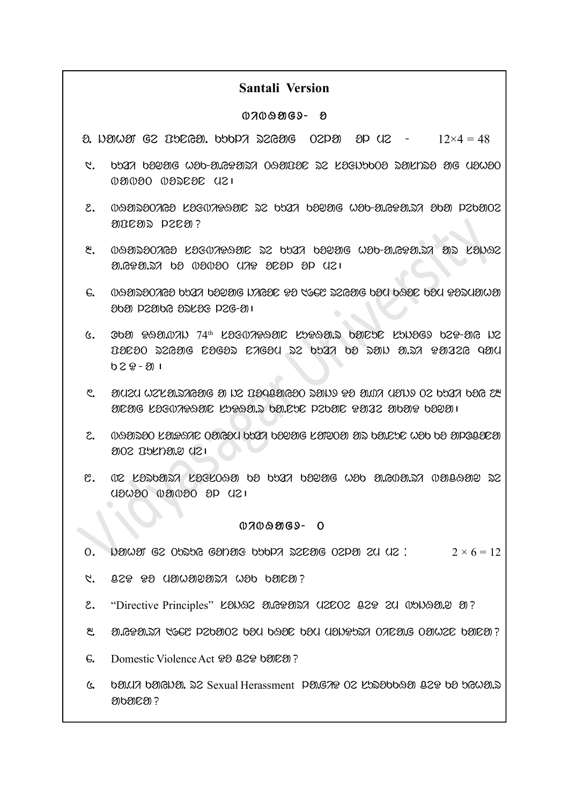#### Santali Version

#### $07009069 - 8$

o. jahaN ge PunYa. kukli reYag Tela ol me - 12×4 = 48

- $1$  , that possible wap-algeary obsided by lagnapon parised and usuro  $0.80000$   $0.800000$   $0.100000$
- $2.$  089020203  $20303030302$   $20303002$   $2030000$   $20300000$   $203000000$   $203000000$ ancas peca?
- $8.$  balasoones kosonraar so ban boyag wob-a.ega.sh as kawao  $20.6920.52$  be  $0.2020$  and  $292$   $20$   $21$
- $6.$  behard that the data bedanger the section of the parameter  $\alpha$  $202$  particles by  $10<sup>2</sup>$  or  $6<sup>2</sup>$  or  $6<sup>2</sup>$  or  $6<sup>2</sup>$  or  $6<sup>2</sup>$  or  $6<sup>2</sup>$  or  $6<sup>2</sup>$  or  $6<sup>2</sup>$  or  $6<sup>2</sup>$  or  $6<sup>2</sup>$  or  $6<sup>2</sup>$  or  $6<sup>2</sup>$  or  $6<sup>2</sup>$  or  $6<sup>2</sup>$  or  $6$
- $6.$  Oba PAAMAN  $74$ th la $304$ araal ladea.r baiede kond $69$  dep-aig ive PonoT reYag nogor nigom re kuzi ko raj a.ri DazeY qam  $029 - 311$
- $\mathcal{E}$ . and the NSU rajage and the Dagasing of all  $\mathcal{E}$  and  $\mathcal{E}$  $20$ <sub>20</sub>  $20$ <sub>20</sub>  $20$ <sub>20</sub>  $20$ <sub>20</sub>  $20$ <sub>20</sub>  $20$ <sub>20</sub>  $20$ <sub>20</sub>  $20$ <sub>20</sub>  $10$ <sub>20</sub>  $20$ <sub>20</sub>  $10$
- $2.$  beyard  $20$  same object bar beyag lated ar ba.ebe wab ba apolated alos apridar disi
- $8.$  02 Lastari superformation to that the some wat all algebrand some  $\alpha$ mohoT baboT ol me|

#### $0709969 - 0$

- 0. Negram ge opsog ganar boopt serag oepar en ue:  $2 \times 6 = 12$
- $C.$  ass to asward the cop baca?
- 2. "Directive Principles" KONGE MG&OSTA UZCOZ 82& ZU WONGONY O?
- $3.699.37$  (GCC P20902 bay base bay yang bang one on we band?
- 6. Domestic Violence Act  $92.929$  band  $\overline{2}$ ?
- $6.$  bay,  $\alpha$  barged  $\alpha$ . as Sexual Herassment pa.g $\alpha$  os la.gabbaa 02 $\alpha$  ba brand. ananea ?